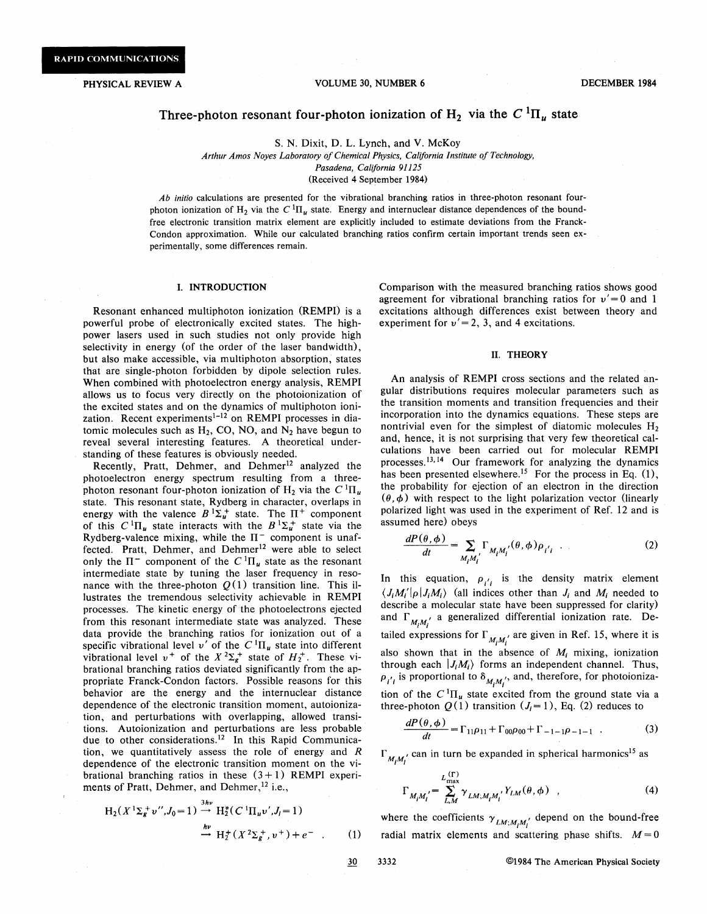### PHYSICAL REVIEW A **VOLUME 30, NUMBER 6** DECEMBER 1984

# Three-photon resonant four-photon ionization of  $H_2$  via the  $C^{1}\Pi_{\mu}$  state

S. N. Dixit, D. L. Lynch, and V. McKoy

*Arthur Amos Noyes Laboratory of Chemical Physics, California Institute of Technology, Pasadena, California 91125*  (Received 4 September 1984)

*Ab initio* calculations are presented for the vibrational branching ratios in three-photon resonant fourphoton ionization of H<sub>2</sub> via the  $C^{1}\Pi_{\mu}$  state. Energy and internuclear distance dependences of the boundfree electronic transition matrix element are explicitly included to estimate deviations from the Franck-Condon approximation. While our calculated branching ratios confirm certain important trends seen experimentally, some differences remain.

## I. INTRODUCTION

Resonant enhanced multiphoton ionization (REMPI) is a powerful probe of electronically excited states. The highpower lasers used in such studies not only provide high selectivity in energy (of the order of the laser bandwidth), but also make accessible, via multiphoton absorption; states that are single-photon forbidden by dipole selection rules. When combined with photoelectron energy analysis, REMPI allows us to focus very directly on the photoionization of the excited states and on the dynamics of multiphoton ionization. Recent experiments $1-12$  on REMPI processes in diatomic molecules such as  $H_2$ , CO, NO, and  $N_2$  have begun to reveal several interesting features. A theoretical understanding of these features is obviously needed.

Recently, Pratt, Dehmer, and Dehmer<sup>12</sup> analyzed the photoelectron energy spectrum resulting from a threephoton resonant four-photon ionization of  $H_2$  via the  $C^1\Pi_u$ state. This resonant state, Rydberg in character, overlaps in energy with the valence  $B^{1}\Sigma_{u}^{+}$  state. The  $\Pi^{+}$  component of this  $C^{1}\Pi_{u}$  state interacts with the  $B^{1}\Sigma_{u}^{+}$  state via the Rydberg-valence mixing, while the  $\Pi^-$  component is unaffected. Pratt, Dehmer, and Dehmer<sup>12</sup> were able to select only the  $\Pi^-$  component of the  $C^1\Pi_u$  state as the resonant intermediate state by tuning the laser frequency in resonance with the three-photon  $Q(1)$  transition line. This illustrates the tremendous selectivity achievable in REMPI processes. The kinetic energy of the photoelectrons ejected from this resonant intermediate state was analyzed. These data provide the branching ratios for ionization out of a specific vibrational level  $v'$  of the  $C^{1}$  $\Pi_{u}$  state into different spectric vibrational level *v* of the *C*  $H_u$  state into different vibrational level *v*<sup>+</sup> of the *X*  ${}^2\Sigma_g$ <sup>+</sup> state of  $H_2$ <sup>+</sup>. These vibrational branching ratios deviated significantly from the appropriate Franck-Condon factors. Possible reasons for this behavior are the energy and the internuclear distance dependence of the electronic transition moment, autoionization, and perturbations with overlapping, allowed transitions. Autoionization and perturbations are Jess probable due to other considerations.<sup>12</sup> In this Rapid Communication, we quantitatively assess the role of energy and *R*  dependence of the electronic transition moment on the vibrational branching ratios in these  $(3+1)$  REMPI experiments of Pratt, Dehmer, and Dehmer,<sup>12</sup> i.e.,

$$
H_2(X^1\Sigma_g^+v'', J_0=1) \stackrel{3hv}{\to} H_2^*(C^1\Pi_u v', J_i=1)
$$
  
\n
$$
\stackrel{hv}{\to} H_2^+(X^2\Sigma_g^+, v^+) + e^- \quad . \tag{1}
$$

Comparison with the measured branching ratios shows good agreement for vibrational branching ratios for  $v' = 0$  and 1 excitations although differences exist between theory and experiment for  $v' = 2$ , 3, and 4 excitations.

#### II. THEORY

An analysis of REMPI cross sections and the related angular distributions requires molecular parameters such as the transition moments and transition frequencies and their incorporation into the dynamics equations. These steps are nontrivial even for the simplest of diatomic molecules  $H_2$ and, hence, it is not surprising that very few theoretical calculations have been carried out for molecular REMPI processes.<sup>13,14</sup> Our framework for analyzing the dynamics has been presented elsewhere.<sup>15</sup> For the process in Eq.  $(1)$ , the probability for ejection of an electron in the direction  $(\theta, \phi)$  with respect to the light polarization vector (linearly polarized light was used in the experiment of Ref. 12 and is assumed here) obeys

$$
\frac{dP(\theta,\phi)}{dt} = \sum_{M_i M_i'} \Gamma_{M_i M_i'}(\theta,\phi) \rho_{i'i} \quad . \tag{2}
$$

In this equation,  $p_{i'i}$  is the density matrix element  $\langle J_i M'_i | \rho | J_i M_i \rangle$  (all indices other than  $J_i$  and  $M_i$  needed to describe a molecular state have been suppressed for clarity) and  $\Gamma_{M_i M_i'}$  a generalized differential ionization rate. Detailed expressions for  $\Gamma_{M_1M_1'}$  are given in Ref. 15, where it is also shown that in the absence of  $M_i$  mixing, ionization through each  $|J_iM_i\rangle$  forms an independent channel. Thus,  $\rho_{i'i}$  is proportional to  $\delta_{M_iM_i'}$ , and, therefore, for photoionization of the  $C^{1}\Pi_{u}$  state excited from the ground state via a three-photon  $Q(1)$  transition  $(J<sub>i</sub>=1)$ , Eq. (2) reduces to

$$
\frac{dP(\theta,\phi)}{dt} = \Gamma_{11}\rho_{11} + \Gamma_{00}\rho_{00} + \Gamma_{-1-1}\rho_{-1-1} \tag{3}
$$

 $\Gamma_{M, M}$  can in turn be expanded in spherical harmonics<sup>15</sup> as

$$
\Gamma_{M_i M_i'} = \sum_{L,M}^{L_{\text{max}}^{(\Gamma)}} \gamma_{L M; M_i M_i'} Y_{L M}(\theta, \phi) , \qquad (4)
$$

where the coefficients  $\gamma_{LM;M,M'}$  depend on the bound-free radial matrix elements and scattering phase shifts.  $M = 0$ 

 $30$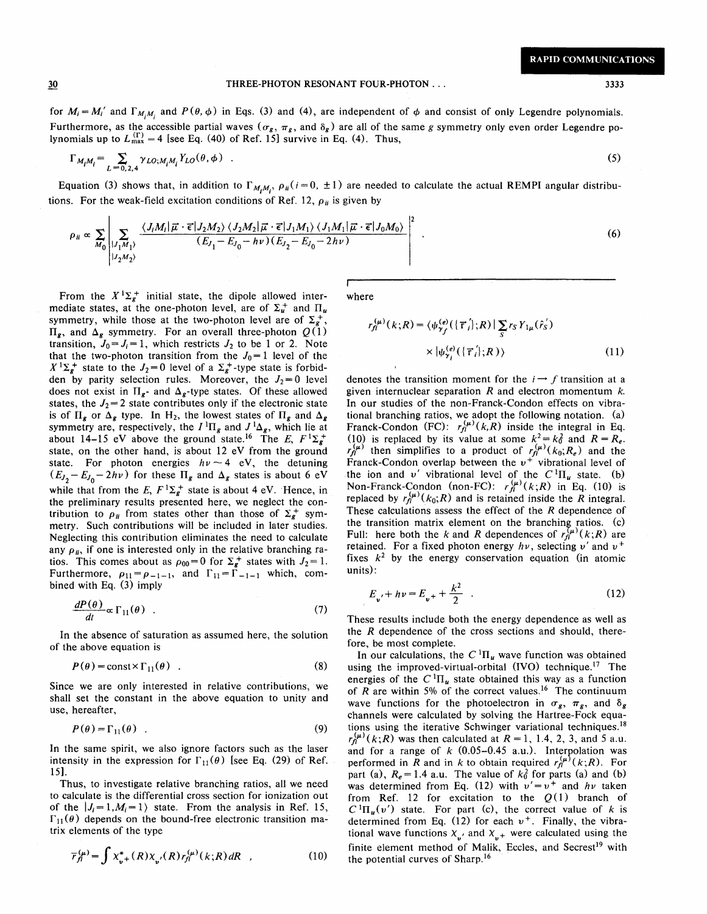THREE-PHOTON RESONANT FOUR-PHOTON ... 3333 3333

for  $M_i = M'_i$  and  $\Gamma_{M_iM_i}$  and  $P(\theta, \phi)$  in Eqs. (3) and (4), are independent of  $\phi$  and consist of only Legendre polynomials. Furthermore, as the accessible partial waves ( $\sigma_g$ ,  $\pi_g$ , and  $\delta_g$ ) are all of the same *g* symmetry only even order Legendre polynomials up to  $L_{\text{max}}^{(\Gamma)} = 4$  [see Eq. (40) of Ref. 15] survive in Eq. (4). Thus,

$$
\Gamma_{M_i M_i} = \sum_{L=0,2,4} \gamma_{LO;M_i M_i} Y_{LO}(\theta,\phi) \quad . \tag{5}
$$

Equation (3) shows that, in addition to  $\Gamma_{M_tM_t}$ ,  $\rho_{ii}(i=0, \pm 1)$  are needed to calculate the actual REMPI angular distributions. For the weak-field excitation conditions of Ref. 12,  $\rho_{ii}$  is given by

$$
\rho_{ii} \propto \sum_{M_0} \left| \sum_{\substack{|J_1M_1| \ |J_2M_2\rangle}} \frac{\langle J_iM_i | \vec{\mu} \cdot \vec{\epsilon} | J_2M_2 \rangle \langle J_2M_2 | \vec{\mu} \cdot \vec{\epsilon} | J_1M_1 \rangle \langle J_1M_1 | \vec{\mu} \cdot \vec{\epsilon} | J_0M_0 \rangle}{(E_{J_1} - E_{J_0} - h\nu)(E_{J_2} - E_{J_0} - 2h\nu)} \right|^2 \tag{6}
$$

From the  $X^{1}\Sigma_{g}^{+}$  initial state, the dipole allowed intermediate states, at the one-photon level, are of  $\Sigma_u^+$  and  $\Pi_u$ symmetry, while those at the two-photon level are of  $\Sigma_{g}^{+}$ ,  $\Pi_{\mathbf{z}}$ , and  $\Delta_{\mathbf{z}}$  symmetry. For an overall three-photon  $Q(1)$ transition,  $J_0 = J_i = 1$ , which restricts  $J_2$  to be 1 or 2. Note that the two-photon transition from the  $J_0=1$  level of the  $X^{1}\Sigma_{g}^{+}$  state to the  $J_2 = 0$  level of a  $\Sigma_{g}^{+}$ -type state is forbidden by parity selection rules. Moreover, the  $J_2 = 0$  level does not exist in  $\Pi_{g}$ - and  $\Delta_{g}$ -type states. Of these allowed states, the  $J_2 = 2$  state contributes only if the electronic state is of  $\Pi_{g}$  or  $\Delta_{g}$  type. In H<sub>2</sub>, the lowest states of  $\Pi_{g}$  and  $\Delta_{g}$ symmetry are, respectively, the  $I^1\Pi_g$  and  $J^1\Delta_g$ , which lie at about 14-15 eV above the ground state.<sup>16</sup> The E,  $F^1\Sigma_g^+$ state, on the other hand, is about 12 eV from the ground state. For photon energies  $h\nu \sim 4$  eV, the detuning  $(E_{J_2} - E_{J_0} - 2hv)$  for these  $\Pi_g$  and  $\Delta_g$  states is about 6 eV while that from the E,  $F^1\Sigma_g^+$  state is about 4 eV. Hence, in the preliminary results presented here, we neglect the contribution to  $\rho_{ii}$  from states other than those of  $\Sigma_g^+$  symmetry. Such contributions will be included in later studies. Neglecting this contribution eliminates the need to calculate any  $\rho_{ij}$ , if one is interested only in the relative branching ratios. This comes about as  $\rho_{00} = 0$  for  $\Sigma_g^+$  states with  $J_2 = 1$ . Furthermore,  $\rho_{11} = \rho_{-1-1}$ , and  $\Gamma_{11} = \Gamma_{-1-1}$  which, combined with Eq. (3) imply

$$
\frac{dP(\theta)}{dt} \propto \Gamma_{11}(\theta) \quad . \tag{7}
$$

In the absence of saturation as assumed here, the solution of the above equation is

$$
P(\theta) = \text{const} \times \Gamma_{11}(\theta) \quad . \tag{8}
$$

Since we are only interested in relative contributions, we shall set the constant in the above equation to unity and use, hereafter,

$$
P(\theta) = \Gamma_{11}(\theta) \tag{9}
$$

In the same spirit, we also ignore factors such as the laser intensity in the expression for  $\Gamma_{11}(\theta)$  [see Eq. (29) of Ref. 15].

Thus, to investigate relative branching ratios, all we need to calculate is the differential cross section for ionization out of the  $|J_i = 1, M_i = 1$  state. From the analysis in Ref. 15,  $\Gamma_{11}(\theta)$  depends on the bound-free electronic transition matrix elements of the type

$$
\overline{r}_{fl}^{(\mu)} = \int X_{v}^{*} (R) X_{v'}(R) r_{fl}^{(\mu)}(k;R) dR \quad , \tag{10}
$$

where

$$
r_{\eta}^{(\mu)}(k;R) = \langle \psi_{\gamma_f}^{(e)}(\{\vec{\mathbf{r}}_i\};R)| \sum_{S} r_{S} Y_{1\mu}(\hat{r}_S) \times |\psi_{\gamma_i}^{(e)}(\{\vec{\mathbf{r}}_i\};R)\rangle
$$
\n
$$
(11)
$$

denotes the transition moment for the  $i \rightarrow f$  transition at a given internuclear separation  $R$  and electron momentum  $k$ . In our studies of the non-Franck-Condon effects on vibrational branching ratios, we adopt the following notation. (a) Franck-Condon (FC):  $r_{\hat{H}}^{(\mu)}(k,R)$  inside the integral in Eq. (10) is replaced by its value at some  $k^2 = k_0^2$  and  $R = R_e$ .  $r_{\rm fl}^{(\mu)}$  then simplifies to a product of  $r_{\rm fl}^{(\mu)}(k_0;R_e)$  and the Franck-Condon overlap between the  $v^+$  vibrational level of the ion and *v'* vibrational level of the  $C^{1}\Pi_{u}$  state. (b) Non-Franck-Condon (non-FC):  $r_{\hat{H}}^{(\mu)}(k;R)$  in Eq. (10) is replaced by  $r_f^{(\mu)}(k_0;R)$  and is retained inside the R integral. These calculations assess the effect of the *R* dependence of the transition matrix element on the branching ratios.  $(c)$ Full: here both the k and R dependences of  $r_{\rm ff}^{(\mu)}(k;R)$  are retained. For a fixed photon energy *hv,* selecting *v'* and *v+*  fixes  $k^2$  by the energy conservation equation (in atomic units):

$$
E_{v'} + h v = E_{v} + \frac{k^2}{2} \quad . \tag{12}
$$

These results include both the energy dependence as well as the *R* dependence of the cross sections and should, therefore, be most complete.

In our calculations, the  $C^{1}\Pi_{u}$  wave function was obtained using the improved-virtual-orbital  $(IVO)$  technique.<sup>17</sup> The energies of the  $C^{1}\Pi_{u}$  state obtained this way as a function of *R* are within *5%* of the correct values. 16 The continuum wave functions for the photoelectron in  $\sigma_g$ ,  $\pi_g$ , and  $\delta_g$ channels were calculated by solving the Hartree-Fock equations using the iterative Schwinger variational techniques.<sup>18</sup>  $r_{\rm fl}^{(\mu)}(k;R)$  was then calculated at  $R = 1, 1.4, 2, 3,$  and 5 a.u. and for a range of  $k$  (0.05-0.45 a.u.). Interpolation was performed in R and in k to obtain required  $r_{\hat{H}}^{(\mu)}(k;R)$ . For part (a),  $R_e = 1.4$  a.u. The value of  $k_0^2$  for parts (a) and (b) was determined from Eq. (12) with  $v' = v^+$  and  $hv$  taken from Ref. 12 for excitation to the  $Q(1)$  branch of  $C^{1} \Pi_{u}(v')$  state. For part (c), the correct value of k is determined from Eq.  $(12)$  for each  $v<sup>+</sup>$ . Finally, the vibrational wave functions  $X_{v}$  and  $X_{v}$  were calculated using the finite element method of Malik, Eccles, and Secrest<sup>19</sup> with the potential curves of Sharp.<sup>16</sup>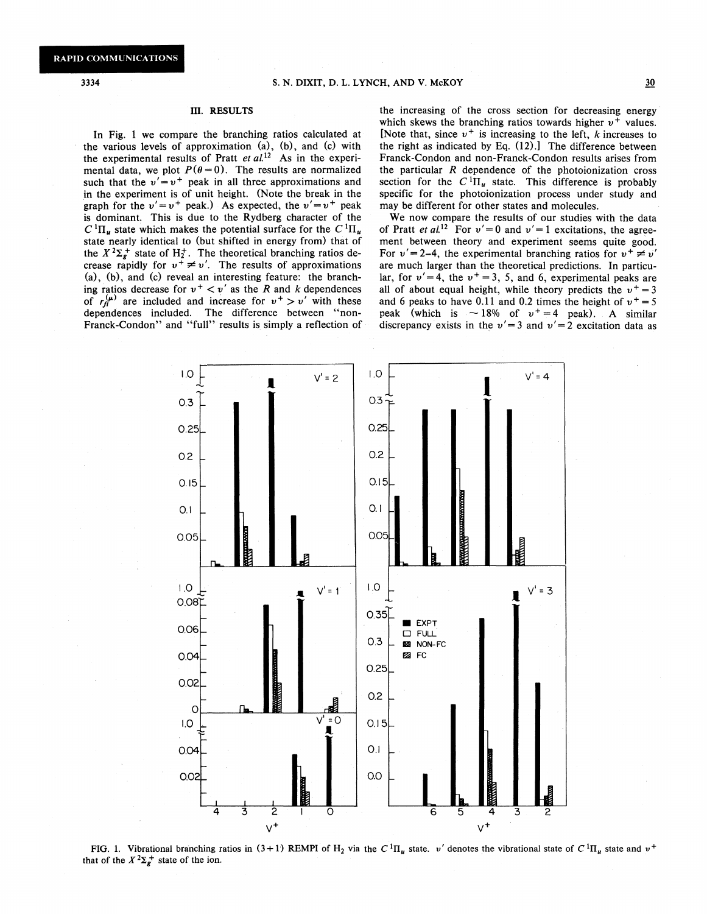#### III. RESULTS

In Fig. 1 we compare the branching ratios calculated at the various levels of approximation (a), (b), and (c) with the experimental results of Pratt *et al.*<sup>12</sup> As in the experimental data, we plot  $P(\theta = 0)$ . The results are normalized such that the  $v' = v^+$  peak in all three approximations and in the experiment is of unit height. (Note the break in the graph for the  $v' = v^+$  peak.) As expected, the  $v' = v^+$  peak is dominant. This is due to the Rydberg character of the  $C^{1}\Pi_{u}$  state which makes the potential surface for the  $C^{1}\Pi_{u}$ state nearly identical to (but shifted in energy from) that of the  $X^2\Sigma_g^+$  state of H<sub>2</sub><sup>+</sup>. The theoretical branching ratios decrease rapidly for  $v^+ \neq v'$ . The results of approximations (a), (b), and (c) reveal an interesting feature: the branching ratios decrease for  $v^+ < v'$  as the R and k dependences of  $r_d^{(\mu)}$  are included and increase for  $v^+ > v'$  with these dependences included. The difference between "non-Franck-Condon" and "full" results is simply a reflection of the increasing of the cross section for decreasing energy which skews the branching ratios towards higher  $v^+$  values. [Note that, since  $v^+$  is increasing to the left, *k* increases to the right as indicated by Eq. (12).] The difference between Franck-Condon and non-Franck-Condon results arises from the particular *R* dependence of the photoionization cross section for the  $C^{1}\Pi_{u}$  state. This difference is probably specific for the photoionization process under study and may be different for other states and molecules.

We now compare the results of our studies with the data of Pratt *et al.*<sup>12</sup> For  $v' = 0$  and  $v' = 1$  excitations, the agreement between theory and experiment seems quite good. For  $v' = 2-4$ , the experimental branching ratios for  $v^+ \neq v'$ are much larger than the theoretical predictions. In particular, for  $v' = 4$ , the  $v<sup>+</sup> = 3$ , 5, and 6, experimental peaks are all of about equal height, while theory predicts the  $v^+=3$ and 6 peaks to have 0.11 and 0.2 times the height of  $v^+=5$ peak (which is  $\sim 18\%$  of  $v^+=4$  peak). A similar discrepancy exists in the  $v' = 3$  and  $v' = 2$  excitation data as



FIG. 1. Vibrational branching ratios in  $(3+1)$  REMPI of H<sub>2</sub> via the C<sup>1</sup>H<sub>u</sub> state. *v'* denotes the vibrational state of C<sup>1</sup>H<sub>u</sub> state and  $v^+$ that of the  $X^2\Sigma_g^+$  state of the ion.